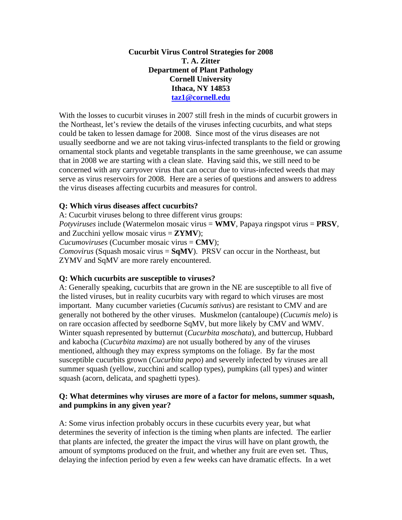### **Cucurbit Virus Control Strategies for 2008 T. A. Zitter Department of Plant Pathology Cornell University Ithaca, NY 14853 [taz1@cornell.edu](mailto:taz1@cornell.edu)**

With the losses to cucurbit viruses in 2007 still fresh in the minds of cucurbit growers in the Northeast, let's review the details of the viruses infecting cucurbits, and what steps could be taken to lessen damage for 2008. Since most of the virus diseases are not usually seedborne and we are not taking virus-infected transplants to the field or growing ornamental stock plants and vegetable transplants in the same greenhouse, we can assume that in 2008 we are starting with a clean slate. Having said this, we still need to be concerned with any carryover virus that can occur due to virus-infected weeds that may serve as virus reservoirs for 2008. Here are a series of questions and answers to address the virus diseases affecting cucurbits and measures for control.

## **Q: Which virus diseases affect cucurbits?**

A: Cucurbit viruses belong to three different virus groups: *Potyviruses* include (Watermelon mosaic virus = **WMV**, Papaya ringspot virus = **PRSV**, and Zucchini yellow mosaic virus  $= ZYMV$ ); *Cucumoviruses* (Cucumber mosaic virus = **CMV**); *Comovirus* (Squash mosaic virus = **SqMV**). PRSV can occur in the Northeast, but ZYMV and SqMV are more rarely encountered.

#### **Q: Which cucurbits are susceptible to viruses?**

A: Generally speaking, cucurbits that are grown in the NE are susceptible to all five of the listed viruses, but in reality cucurbits vary with regard to which viruses are most important. Many cucumber varieties (*Cucumis sativus*) are resistant to CMV and are generally not bothered by the other viruses. Muskmelon (cantaloupe) (*Cucumis melo*) is on rare occasion affected by seedborne SqMV, but more likely by CMV and WMV. Winter squash represented by butternut (*Cucurbita moschata*), and buttercup, Hubbard and kabocha (*Cucurbita maxima*) are not usually bothered by any of the viruses mentioned, although they may express symptoms on the foliage. By far the most susceptible cucurbits grown (*Cucurbita pepo*) and severely infected by viruses are all summer squash (yellow, zucchini and scallop types), pumpkins (all types) and winter squash (acorn, delicata, and spaghetti types).

#### **Q: What determines why viruses are more of a factor for melons, summer squash, and pumpkins in any given year?**

A: Some virus infection probably occurs in these cucurbits every year, but what determines the severity of infection is the timing when plants are infected. The earlier that plants are infected, the greater the impact the virus will have on plant growth, the amount of symptoms produced on the fruit, and whether any fruit are even set. Thus, delaying the infection period by even a few weeks can have dramatic effects. In a wet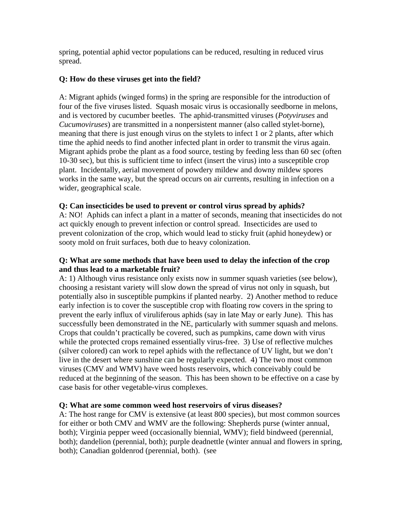spring, potential aphid vector populations can be reduced, resulting in reduced virus spread.

# **Q: How do these viruses get into the field?**

A: Migrant aphids (winged forms) in the spring are responsible for the introduction of four of the five viruses listed. Squash mosaic virus is occasionally seedborne in melons, and is vectored by cucumber beetles. The aphid-transmitted viruses (*Potyviruses* and *Cucumoviruses*) are transmitted in a nonpersistent manner (also called stylet-borne), meaning that there is just enough virus on the stylets to infect 1 or 2 plants, after which time the aphid needs to find another infected plant in order to transmit the virus again. Migrant aphids probe the plant as a food source, testing by feeding less than 60 sec (often 10-30 sec), but this is sufficient time to infect (insert the virus) into a susceptible crop plant. Incidentally, aerial movement of powdery mildew and downy mildew spores works in the same way, but the spread occurs on air currents, resulting in infection on a wider, geographical scale.

## **Q: Can insecticides be used to prevent or control virus spread by aphids?**

A: NO! Aphids can infect a plant in a matter of seconds, meaning that insecticides do not act quickly enough to prevent infection or control spread. Insecticides are used to prevent colonization of the crop, which would lead to sticky fruit (aphid honeydew) or sooty mold on fruit surfaces, both due to heavy colonization.

## **Q: What are some methods that have been used to delay the infection of the crop and thus lead to a marketable fruit?**

A: 1) Although virus resistance only exists now in summer squash varieties (see below), choosing a resistant variety will slow down the spread of virus not only in squash, but potentially also in susceptible pumpkins if planted nearby. 2) Another method to reduce early infection is to cover the susceptible crop with floating row covers in the spring to prevent the early influx of viruliferous aphids (say in late May or early June). This has successfully been demonstrated in the NE, particularly with summer squash and melons. Crops that couldn't practically be covered, such as pumpkins, came down with virus while the protected crops remained essentially virus-free. 3) Use of reflective mulches (silver colored) can work to repel aphids with the reflectance of UV light, but we don't live in the desert where sunshine can be regularly expected. 4) The two most common viruses (CMV and WMV) have weed hosts reservoirs, which conceivably could be reduced at the beginning of the season. This has been shown to be effective on a case by case basis for other vegetable-virus complexes.

## **Q: What are some common weed host reservoirs of virus diseases?**

A: The host range for CMV is extensive (at least 800 species), but most common sources for either or both CMV and WMV are the following: Shepherds purse (winter annual, both); Virginia pepper weed (occasionally biennial, WMV); field bindweed (perennial, both); dandelion (perennial, both); purple deadnettle (winter annual and flowers in spring, both); Canadian goldenrod (perennial, both). (see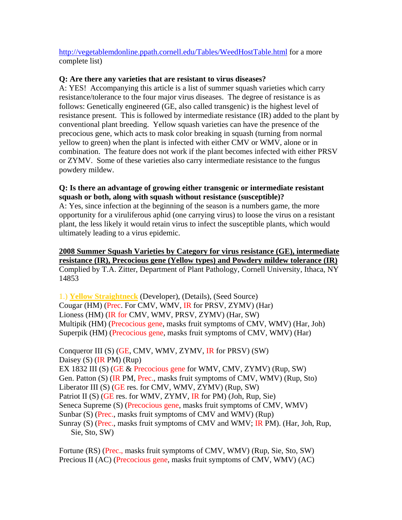<http://vegetablemdonline.ppath.cornell.edu/Tables/WeedHostTable.html>for a more complete list)

#### **Q: Are there any varieties that are resistant to virus diseases?**

A: YES! Accompanying this article is a list of summer squash varieties which carry resistance/tolerance to the four major virus diseases. The degree of resistance is as follows: Genetically engineered (GE, also called transgenic) is the highest level of resistance present. This is followed by intermediate resistance (IR) added to the plant by conventional plant breeding. Yellow squash varieties can have the presence of the precocious gene, which acts to mask color breaking in squash (turning from normal yellow to green) when the plant is infected with either CMV or WMV, alone or in combination. The feature does not work if the plant becomes infected with either PRSV or ZYMV. Some of these varieties also carry intermediate resistance to the fungus powdery mildew.

### **Q: Is there an advantage of growing either transgenic or intermediate resistant squash or both, along with squash without resistance (susceptible)?**

A: Yes, since infection at the beginning of the season is a numbers game, the more opportunity for a viruliferous aphid (one carrying virus) to loose the virus on a resistant plant, the less likely it would retain virus to infect the susceptible plants, which would ultimately leading to a virus epidemic.

#### **2008 Summer Squash Varieties by Category for virus resistance (GE), intermediate resistance (IR), Precocious gene (Yellow types) and Powdery mildew tolerance (IR)** Complied by T.A. Zitter, Department of Plant Pathology, Cornell University, Ithaca, NY 14853

1.) **Yellow Straightneck** (Developer), (Details), (Seed Source) Cougar (HM) (Prec. For CMV, WMV, IR for PRSV, ZYMV) (Har) Lioness (HM) (IR for CMV, WMV, PRSV, ZYMV) (Har, SW) Multipik (HM) (Precocious gene, masks fruit symptoms of CMV, WMV) (Har, Joh) Superpik (HM) (Precocious gene, masks fruit symptoms of CMV, WMV) (Har)

Conqueror III  $(S)$  (GE, CMV, WMV, ZYMV, IR for PRSV)  $(SW)$ Daisey (S) (IR PM) (Rup) EX 1832 III (S) (GE & Precocious gene for WMV, CMV, ZYMV) (Rup, SW) Gen. Patton (S) (IR PM, Prec., masks fruit symptoms of CMV, WMV) (Rup, Sto) Liberator III (S) (GE res. for CMV, WMV, ZYMV) (Rup, SW) Patriot II (S) (GE res. for WMV, ZYMV, IR for PM) (Joh, Rup, Sie) Seneca Supreme (S) (Precocious gene, masks fruit symptoms of CMV, WMV) Sunbar (S) (Prec., masks fruit symptoms of CMV and WMV) (Rup) Sunray (S) (Prec., masks fruit symptoms of CMV and WMV; IR PM). (Har, Joh, Rup, Sie, Sto, SW)

Fortune (RS) (Prec., masks fruit symptoms of CMV, WMV) (Rup, Sie, Sto, SW) Precious II (AC) (Precocious gene, masks fruit symptoms of CMV, WMV) (AC)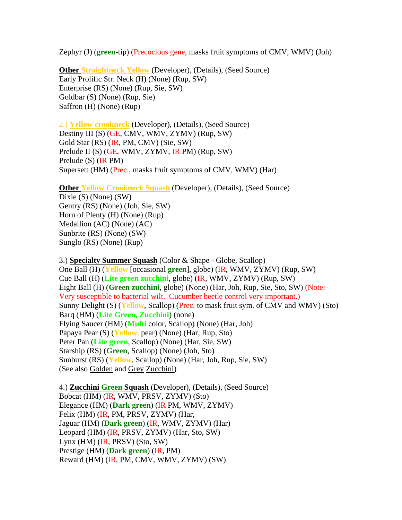Zephyr (J) (**green**-tip) (Precocious gene, masks fruit symptoms of CMV, WMV) (Joh)

**Other Straightneck Yellow** (Developer), (Details), (Seed Source) Early Prolific Str. Neck (H) (None) (Rup, SW) Enterprise (RS) (None) (Rup, Sie, SW) Goldbar (S) (None) (Rup, Sie) Saffron (H) (None) (Rup)

2.) **Yellow crookneck** (Developer), (Details), (Seed Source) Destiny III (S) (GE, CMV, WMV, ZYMV) (Rup, SW) Gold Star (RS) (IR, PM, CMV) (Sie, SW) Prelude II (S) (GE, WMV, ZYMV, IR PM) (Rup, SW) Prelude (S) (IR PM) Supersett (HM) (Prec., masks fruit symptoms of CMV, WMV) (Har)

**Other Yellow Crookneck Squash (Developer), (Details), (Seed Source)** 

Dixie (S) (None) (SW) Gentry (RS) (None) (Joh, Sie, SW) Horn of Plenty (H) (None) (Rup) Medallion (AC) (None) (AC) Sunbrite (RS) (None) (SW) Sunglo (RS) (None) (Rup)

3.) **Specialty Summer Squash** (Color & Shape - Globe, Scallop) One Ball (H) (**Yellow** [occasional **green**], globe) (IR, WMV, ZYMV) (Rup, SW) Cue Ball (H) (**Lite green zucchini**, globe) (IR, WMV, ZYMV) (Rup, SW) Eight Ball (H) (**Green zucchini**, globe) (None) (Har, Joh, Rup, Sie, Sto, SW) (Note: Very susceptible to bacterial wilt. Cucumber beetle control very important.) Sunny Delight (S) (**Yellow**, Scallop) (Prec. to mask fruit sym. of CMV and WMV) (Sto) Barq (HM) (**Lite Green, Zucchini**) (none) Flying Saucer (HM) (**Multi** color, Scallop) (None) (Har, Joh) Papaya Pear (S) (**Yellow**, pear) (None) (Har, Rup, Sto) Peter Pan (**Lite green**, Scallop) (None) (Har, Sie, SW) Starship (RS) (**Green**, Scallop) (None) (Joh, Sto) Sunburst (RS) (**Yellow**, Scallop) (None) (Har, Joh, Rup, Sie, SW) (See also Golden and Grey Zucchini)

4.) **Zucchini Green Squash** (Developer), (Details), (Seed Source) Bobcat (HM) (IR, WMV, PRSV, ZYMV) (Sto) Elegance (HM) (**Dark green**) (IR PM, WMV, ZYMV) Felix (HM) (IR, PM, PRSV, ZYMV) (Har, Jaguar (HM) (**Dark green**) (IR, WMV, ZYMV) (Har) Leopard (HM) (IR, PRSV, ZYMV) (Har, Sto, SW) Lynx (HM) (IR, PRSV) (Sto, SW) Prestige (HM) (**Dark green**) (IR, PM) Reward (HM) (IR, PM, CMV, WMV, ZYMV) (SW)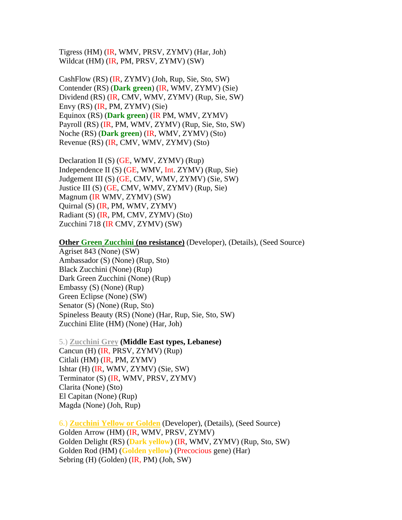Tigress (HM) (IR, WMV, PRSV, ZYMV) (Har, Joh) Wildcat (HM) (IR, PM, PRSV, ZYMV) (SW)

CashFlow (RS) (IR, ZYMV) (Joh, Rup, Sie, Sto, SW) Contender (RS) (**Dark green**) (IR, WMV, ZYMV) (Sie) Dividend (RS) (IR, CMV, WMV, ZYMV) (Rup, Sie, SW) Envy (RS) (IR, PM, ZYMV) (Sie) Equinox (RS) (**Dark green**) (IR PM, WMV, ZYMV) Payroll (RS) (IR, PM, WMV, ZYMV) (Rup, Sie, Sto, SW) Noche (RS) (**Dark green**) (IR, WMV, ZYMV) (Sto) Revenue (RS) (IR, CMV, WMV, ZYMV) (Sto)

Declaration II (S) (GE, WMV, ZYMV) (Rup) Independence II (S) (GE, WMV, Int. ZYMV) (Rup, Sie) Judgement III (S) (GE, CMV, WMV, ZYMV) (Sie, SW) Justice III (S) (GE, CMV, WMV, ZYMV) (Rup, Sie) Magnum (IR WMV, ZYMV) (SW) Quirnal (S) (IR, PM, WMV, ZYMV) Radiant (S) (IR, PM, CMV, ZYMV) (Sto) Zucchini 718 (IR CMV, ZYMV) (SW)

**Other Green Zucchini (no resistance)** (Developer), (Details), (Seed Source)

Agriset 843 (None) (SW) Ambassador (S) (None) (Rup, Sto) Black Zucchini (None) (Rup) Dark Green Zucchini (None) (Rup) Embassy (S) (None) (Rup) Green Eclipse (None) (SW) Senator (S) (None) (Rup, Sto) Spineless Beauty (RS) (None) (Har, Rup, Sie, Sto, SW) Zucchini Elite (HM) (None) (Har, Joh)

5.) **Zucchini Grey (Middle East types, Lebanese)**  Cancun (H) (IR, PRSV, ZYMV) (Rup) Citlali (HM) (IR, PM, ZYMV) Ishtar (H) (IR, WMV, ZYMV) (Sie, SW) Terminator (S) (IR, WMV, PRSV, ZYMV) Clarita (None) (Sto) El Capitan (None) (Rup) Magda (None) (Joh, Rup)

6.) **Zucchini Yellow or Golden** (Developer), (Details), (Seed Source) Golden Arrow (HM) (IR, WMV, PRSV, ZYMV) Golden Delight (RS) (**Dark yellow**) (IR, WMV, ZYMV) (Rup, Sto, SW) Golden Rod (HM) (**Golden yellow**) (Precocious gene) (Har) Sebring (H) (Golden) (IR, PM) (Joh, SW)